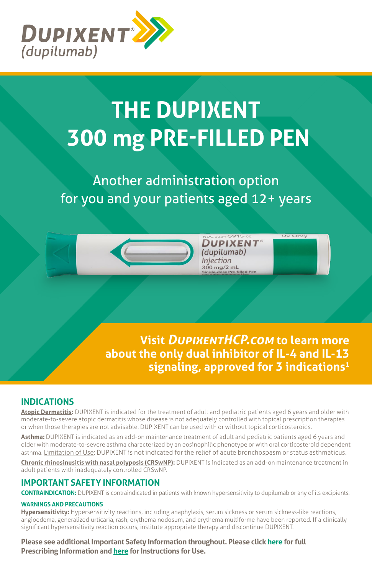

# **THE DUPIXENT 300 mg PRE-FILLED PEN**

Another administration option for you and your patients aged 12+ years

> **Visit** *D[upixentHCP.com](https://www.dupixenthcp.com/)* **to learn more about the only dual inhibitor of IL-4 and IL-13 signaling, approved for 3 indications1**

**DUPIXENT** (dupilumab) Injection 300 mg/2 ml

**Rx Only** 

# **INDICATIONS**

**Atopic Dermatitis:** DUPIXENT is indicated for the treatment of adult and pediatric patients aged 6 years and older with moderate-to-severe atopic dermatitis whose disease is not adequately controlled with topical prescription therapies or when those therapies are not advisable. DUPIXENT can be used with or without topical corticosteroids.

**Asthma:** DUPIXENT is indicated as an add-on maintenance treatment of adult and pediatric patients aged 6 years and older with moderate-to-severe asthma characterized by an eosinophilic phenotype or with oral corticosteroid dependent asthma. Limitation of Use: DUPIXENT is not indicated for the relief of acute bronchospasm or status asthmaticus.

**Chronic rhinosinusitis with nasal polyposis (CRSwNP):** DUPIXENT is indicated as an add-on maintenance treatment in adult patients with inadequately controlled CRSwNP.

# **IMPORTANT SAFETY INFORMATION**

**CONTRAINDICATION:** DUPIXENT is contraindicated in patients with known hypersensitivity to dupilumab or any of its excipients.

### **WARNINGS AND PRECAUTIONS**

**Hypersensitivity:** Hypersensitivity reactions, including anaphylaxis, serum sickness or serum sickness-like reactions, angioedema, generalized urticaria, rash, erythema nodosum, and erythema multiforme have been reported. If a clinically significant hypersensitivity reaction occurs, institute appropriate therapy and discontinue DUPIXENT.

**Please see additional Important Safety Information throughout. Please clic[k here f](https://www.regeneron.com/sites/default/files/Dupixent_FPI.pdf)or full Prescribing Information an[d here f](https://www.regeneron.com/sites/default/files/Dupixent_300mg_PFP_IFU.pdf)or Instructions for Use.**